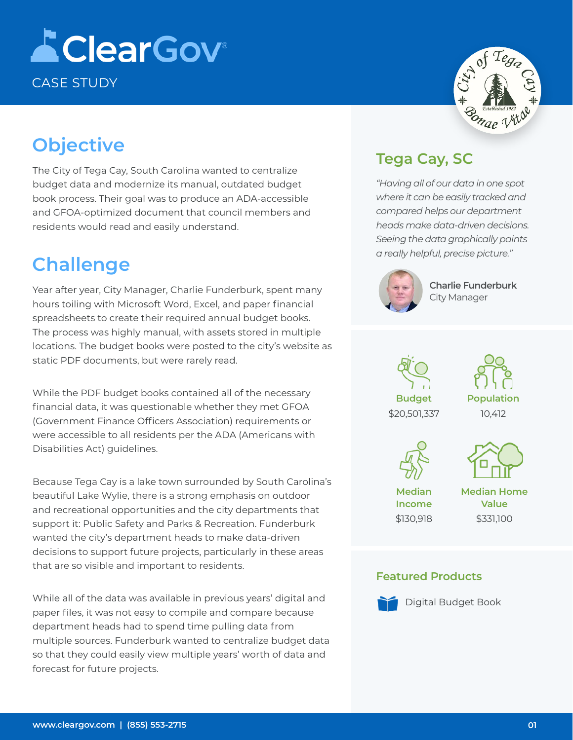# **AClearGov** CASE STUDY

## **Objective**

The City of Tega Cay, South Carolina wanted to centralize budget data and modernize its manual, outdated budget book process. Their goal was to produce an ADA-accessible and GFOA-optimized document that council members and residents would read and easily understand.

#### **Challenge**

Year after year, City Manager, Charlie Funderburk, spent many hours toiling with Microsoft Word, Excel, and paper financial spreadsheets to create their required annual budget books. The process was highly manual, with assets stored in multiple locations. The budget books were posted to the city's website as static PDF documents, but were rarely read.

While the PDF budget books contained all of the necessary financial data, it was questionable whether they met GFOA (Government Finance Officers Association) requirements or were accessible to all residents per the ADA (Americans with Disabilities Act) guidelines.

Because Tega Cay is a lake town surrounded by South Carolina's beautiful Lake Wylie, there is a strong emphasis on outdoor and recreational opportunities and the city departments that support it: Public Safety and Parks & Recreation. Funderburk wanted the city's department heads to make data-driven decisions to support future projects, particularly in these areas that are so visible and important to residents.

While all of the data was available in previous years' digital and paper files, it was not easy to compile and compare because department heads had to spend time pulling data from multiple sources. Funderburk wanted to centralize budget data so that they could easily view multiple years' worth of data and forecast for future projects.

# Songe Vi

#### **Tega Cay, SC**

*"Having all of our data in one spot where it can be easily tracked and compared helps our department heads make data-driven decisions. Seeing the data graphically paints a really helpful, precise picture."*



**Charlie Funderburk**  City Manager









**Median Income** \$130,918 **Median Home Value** \$331,100

#### **Featured Products**



Digital Budget Book